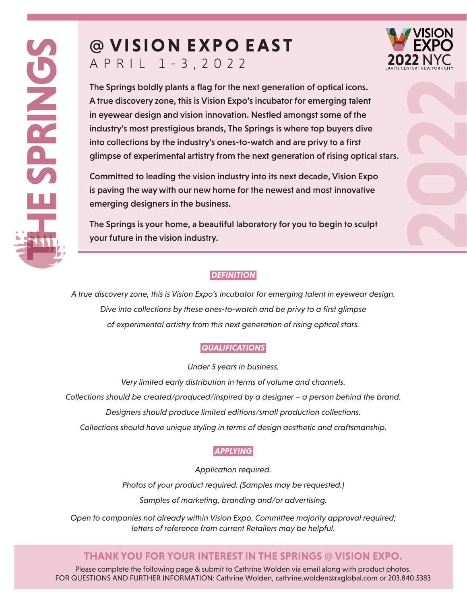# **@ V I S I O N E X P O E A S T** APRIL 1-3 , 2022



The Springs boldly plants a flag for the next generation of optical icons. A true discovery zone, this is Vision Expo's incubator for emerging talent in eyewear design and vision innovation. Nestled amongst some of the industry's most prestigious brands, The Springs is where top buyers dive into collections by the industry's ones-to-watch and are privy to a first glimpse of experimental artistry from the next generation of rising optical stars.

Committed to leading the vision industry into its next decade, Vision Expo is paving the way with our new home for the newest and most innovative emerging designers in the business.

The Springs is your home, a beautiful laboratory for you to begin to sculpt your future in the vision industry.

### *DEFINITION*

*A true discovery zone, this is Vision Expo's incubator for emerging talent in eyewear design.* Dive into collections by these ones-to-watch and be privy to a first glimpse *of experimental artistry from this next generation of rising optical stars.*

## *QUALIFICATIONS*

*Under 5 years in business.*

*Very limited early distribution in terms of volume and channels. Collections should be created/produced/inspired by a designer – a person behind the brand. Designers should produce limited editions/small production collections.*

*Collections should have unique styling in terms of design aesthetic and craftsmanship.*

#### *APPLYING*

*Application required.*

*Photos of your product required. (Samples may be requested.) Samples of marketing, branding and/or advertising.*

*Open to companies not already within Vision Expo. Committee majority approval required; letters of reference from current Retailers may be helpful.*

# **THANK YOU FOR YOUR INTEREST IN THE SPRINGS @ VISION EXPO.**

Please complete the following page & submit to Cathrine Wolden via email along with product photos. FOR QUESTIONS AND FURTHER INFORMATION: Cathrine Wolden, cathrine.wolden@rxglobal.com or 203.840.5383